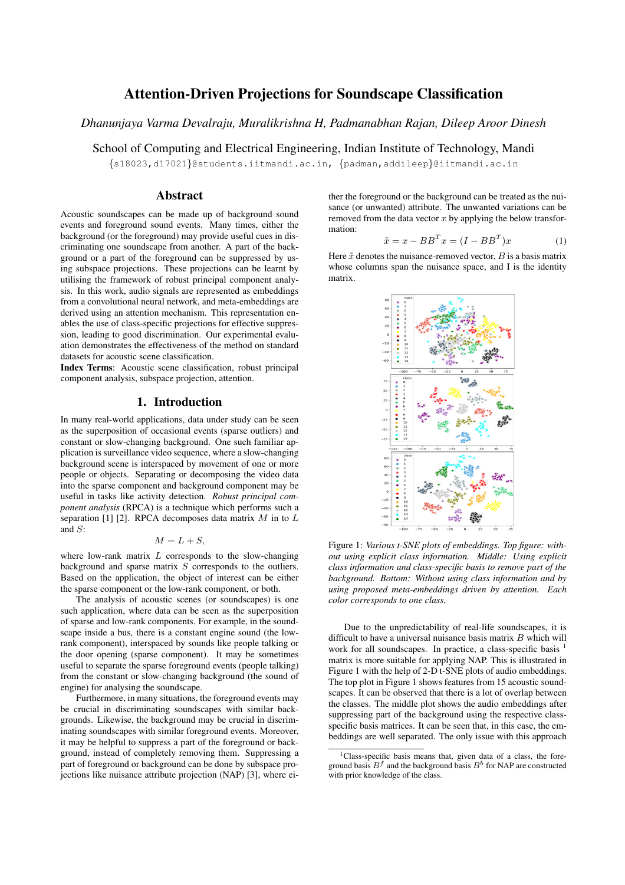# Attention-Driven Projections for Soundscape Classification

*Dhanunjaya Varma Devalraju, Muralikrishna H, Padmanabhan Rajan, Dileep Aroor Dinesh*

School of Computing and Electrical Engineering, Indian Institute of Technology, Mandi

{s18023,d17021}@students.iitmandi.ac.in, {padman,addileep}@iitmandi.ac.in

## Abstract

Acoustic soundscapes can be made up of background sound events and foreground sound events. Many times, either the background (or the foreground) may provide useful cues in discriminating one soundscape from another. A part of the background or a part of the foreground can be suppressed by using subspace projections. These projections can be learnt by utilising the framework of robust principal component analysis. In this work, audio signals are represented as embeddings from a convolutional neural network, and meta-embeddings are derived using an attention mechanism. This representation enables the use of class-specific projections for effective suppression, leading to good discrimination. Our experimental evaluation demonstrates the effectiveness of the method on standard datasets for acoustic scene classification.

Index Terms: Acoustic scene classification, robust principal component analysis, subspace projection, attention.

## 1. Introduction

In many real-world applications, data under study can be seen as the superposition of occasional events (sparse outliers) and constant or slow-changing background. One such familiar application is surveillance video sequence, where a slow-changing background scene is interspaced by movement of one or more people or objects. Separating or decomposing the video data into the sparse component and background component may be useful in tasks like activity detection. *Robust principal component analysis* (RPCA) is a technique which performs such a separation [1] [2]. RPCA decomposes data matrix  $M$  in to  $L$ and S:

$$
M = L + S,
$$

where low-rank matrix  $L$  corresponds to the slow-changing background and sparse matrix  $S$  corresponds to the outliers. Based on the application, the object of interest can be either the sparse component or the low-rank component, or both.

The analysis of acoustic scenes (or soundscapes) is one such application, where data can be seen as the superposition of sparse and low-rank components. For example, in the soundscape inside a bus, there is a constant engine sound (the lowrank component), interspaced by sounds like people talking or the door opening (sparse component). It may be sometimes useful to separate the sparse foreground events (people talking) from the constant or slow-changing background (the sound of engine) for analysing the soundscape.

Furthermore, in many situations, the foreground events may be crucial in discriminating soundscapes with similar backgrounds. Likewise, the background may be crucial in discriminating soundscapes with similar foreground events. Moreover, it may be helpful to suppress a part of the foreground or background, instead of completely removing them. Suppressing a part of foreground or background can be done by subspace projections like nuisance attribute projection (NAP) [3], where either the foreground or the background can be treated as the nuisance (or unwanted) attribute. The unwanted variations can be removed from the data vector  $x$  by applying the below transformation:

$$
\tilde{x} = x - BB^T x = (I - BB^T)x \tag{1}
$$

Here  $\tilde{x}$  denotes the nuisance-removed vector,  $B$  is a basis matrix whose columns span the nuisance space, and I is the identity matrix.



Figure 1: *Various t-SNE plots of embeddings. Top figure: without using explicit class information. Middle: Using explicit class information and class-specific basis to remove part of the background. Bottom: Without using class information and by using proposed meta-embeddings driven by attention. Each color corresponds to one class.*

Due to the unpredictability of real-life soundscapes, it is difficult to have a universal nuisance basis matrix  $B$  which will work for all soundscapes. In practice, a class-specific basis matrix is more suitable for applying NAP. This is illustrated in Figure 1 with the help of 2-D t-SNE plots of audio embeddings. The top plot in Figure 1 shows features from 15 acoustic soundscapes. It can be observed that there is a lot of overlap between the classes. The middle plot shows the audio embeddings after suppressing part of the background using the respective classspecific basis matrices. It can be seen that, in this case, the embeddings are well separated. The only issue with this approach

<sup>&</sup>lt;sup>1</sup>Class-specific basis means that, given data of a class, the foreground basis  $B<sup>f</sup>$  and the background basis  $B<sup>b</sup>$  for NAP are constructed with prior knowledge of the class.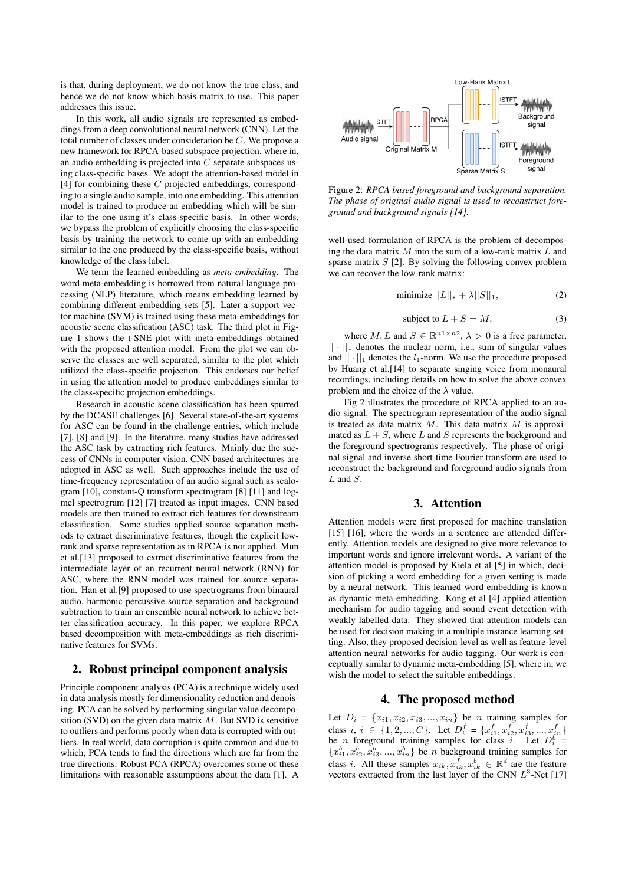is that, during deployment, we do not know the true class, and hence we do not know which basis matrix to use. This paper addresses this issue.

In this work, all audio signals are represented as embeddings from a deep convolutional neural network (CNN). Let the total number of classes under consideration be C. We propose a new framework for RPCA-based subspace projection, where in, an audio embedding is projected into  $C$  separate subspaces using class-specific bases. We adopt the attention-based model in  $[4]$  for combining these C projected embeddings, corresponding to a single audio sample, into one embedding. This attention model is trained to produce an embedding which will be similar to the one using it's class-specific basis. In other words, we bypass the problem of explicitly choosing the class-specific basis by training the network to come up with an embedding similar to the one produced by the class-specific basis, without knowledge of the class label.

We term the learned embedding as *meta-embedding*. The word meta-embedding is borrowed from natural language processing (NLP) literature, which means embedding learned by combining different embedding sets [5]. Later a support vector machine (SVM) is trained using these meta-embeddings for acoustic scene classification (ASC) task. The third plot in Figure 1 shows the t-SNE plot with meta-embeddings obtained with the proposed attention model. From the plot we can observe the classes are well separated, similar to the plot which utilized the class-specific projection. This endorses our belief in using the attention model to produce embeddings similar to the class-specific projection embeddings.

Research in acoustic scene classification has been spurred by the DCASE challenges [6]. Several state-of-the-art systems for ASC can be found in the challenge entries, which include [7], [8] and [9]. In the literature, many studies have addressed the ASC task by extracting rich features. Mainly due the success of CNNs in computer vision, CNN based architectures are adopted in ASC as well. Such approaches include the use of time-frequency representation of an audio signal such as scalogram [10], constant-Q transform spectrogram [8] [11] and logmel spectrogram [12] [7] treated as input images. CNN based models are then trained to extract rich features for downstream classification. Some studies applied source separation methods to extract discriminative features, though the explicit lowrank and sparse representation as in RPCA is not applied. Mun et al.[13] proposed to extract discriminative features from the intermediate layer of an recurrent neural network (RNN) for ASC, where the RNN model was trained for source separation. Han et al.[9] proposed to use spectrograms from binaural audio, harmonic-percussive source separation and background subtraction to train an ensemble neural network to achieve better classification accuracy. In this paper, we explore RPCA based decomposition with meta-embeddings as rich discriminative features for SVMs.

## 2. Robust principal component analysis

Principle component analysis (PCA) is a technique widely used in data analysis mostly for dimensionality reduction and denoising. PCA can be solved by performing singular value decomposition (SVD) on the given data matrix  $M$ . But SVD is sensitive to outliers and performs poorly when data is corrupted with outliers. In real world, data corruption is quite common and due to which, PCA tends to find the directions which are far from the true directions. Robust PCA (RPCA) overcomes some of these limitations with reasonable assumptions about the data [1]. A



Figure 2: *RPCA based foreground and background separation. The phase of original audio signal is used to reconstruct foreground and background signals [14].*

well-used formulation of RPCA is the problem of decomposing the data matrix  $M$  into the sum of a low-rank matrix  $L$  and sparse matrix  $S$  [2]. By solving the following convex problem we can recover the low-rank matrix:

$$
\text{minimize } ||L||_* + \lambda ||S||_1,\tag{2}
$$

subject to 
$$
L + S = M
$$
, (3)

where  $M, L$  and  $S \in \mathbb{R}^{n \times n \times 2}$ ,  $\lambda > 0$  is a free parameter, || · ||<sup>∗</sup> denotes the nuclear norm, i.e., sum of singular values and  $|| \cdot ||_1$  denotes the  $l_1$ -norm. We use the procedure proposed by Huang et al.[14] to separate singing voice from monaural recordings, including details on how to solve the above convex problem and the choice of the  $\lambda$  value.

Fig 2 illustrates the procedure of RPCA applied to an audio signal. The spectrogram representation of the audio signal is treated as data matrix  $M$ . This data matrix  $M$  is approximated as  $L + S$ , where L and S represents the background and the foreground spectrograms respectively. The phase of original signal and inverse short-time Fourier transform are used to reconstruct the background and foreground audio signals from  $L$  and  $S$ .

#### 3. Attention

Attention models were first proposed for machine translation [15] [16], where the words in a sentence are attended differently. Attention models are designed to give more relevance to important words and ignore irrelevant words. A variant of the attention model is proposed by Kiela et al [5] in which, decision of picking a word embedding for a given setting is made by a neural network. This learned word embedding is known as dynamic meta-embedding. Kong et al [4] applied attention mechanism for audio tagging and sound event detection with weakly labelled data. They showed that attention models can be used for decision making in a multiple instance learning setting. Also, they proposed decision-level as well as feature-level attention neural networks for audio tagging. Our work is conceptually similar to dynamic meta-embedding [5], where in, we wish the model to select the suitable embeddings.

#### 4. The proposed method

Let  $D_i = \{x_{i1}, x_{i2}, x_{i3}, \ldots, x_{in}\}$  be *n* training samples for class  $i, i \in \{1, 2, ..., C\}$ . Let  $D_i^f = \{x_{i1}^f, x_{i2}^f, x_{i3}^f, ..., x_{in}^f\}$ be *n* foreground training samples for class *i*. Let  $D_i^b$  =  ${x_{i1}^b, x_{i2}^b, x_{i3}^b, ..., x_{in}^b}$  be *n* background training samples for class *i*. All these samples  $x_{ik}$ ,  $x_{ik}^f$ ,  $x_{ik}^b \in \mathbb{R}^d$  are the feature vectors extracted from the last layer of the CNN  $L^3$ -Net [17]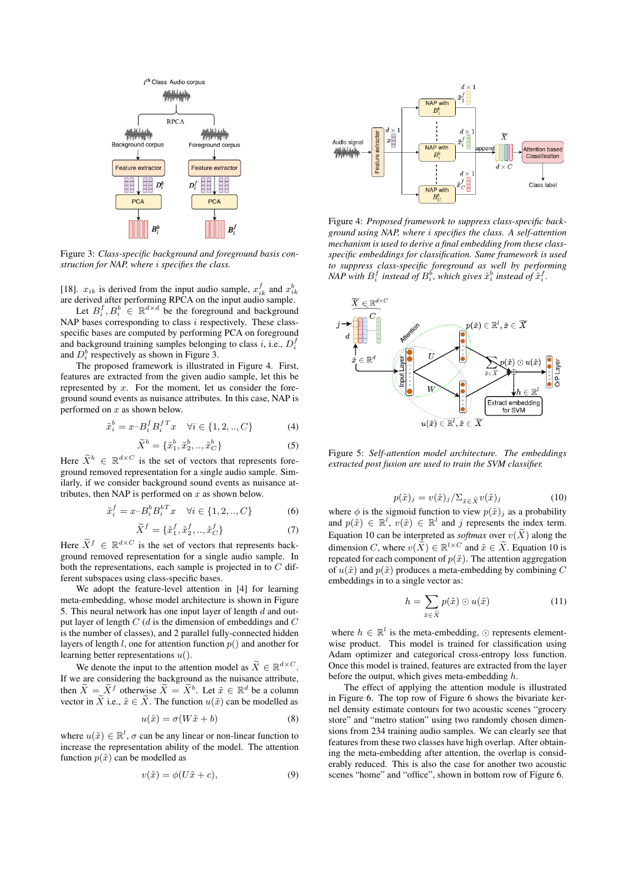

Figure 3: *Class-specific background and foreground basis construction for NAP, where* i *specifies the class.*

[18].  $x_{ik}$  is derived from the input audio sample,  $x_{ik}^f$  and  $x_{ik}^b$ are derived after performing RPCA on the input audio sample.

Let  $B_i^f, B_i^b \in \mathbb{R}^{d \times d}$  be the foreground and background NAP bases corresponding to class  $i$  respectively. These classspecific bases are computed by performing PCA on foreground and background training samples belonging to class  $i$ , i.e.,  $D_i^f$ and  $D_i^b$  respectively as shown in Figure 3.

The proposed framework is illustrated in Figure 4. First, features are extracted from the given audio sample, let this be represented by  $x$ . For the moment, let us consider the foreground sound events as nuisance attributes. In this case, NAP is performed on  $x$  as shown below.

$$
\tilde{x}_i^b = x - B_i^f B_i^{fT} x \quad \forall i \in \{1, 2, \dots, C\}
$$
 (4)

$$
\widetilde{X}^b = \{\tilde{x}_1^b, \tilde{x}_2^b, ..., \tilde{x}_C^b\}
$$
 (5)

Here  $\widetilde{X}^b \in \mathbb{R}^{d \times C}$  is the set of vectors that represents foreground removed representation for a single audio sample. Similarly, if we consider background sound events as nuisance attributes, then NAP is performed on  $x$  as shown below.

$$
\tilde{x}_i^f = x - B_i^b B_i^{bT} x \quad \forall i \in \{1, 2, \dots, C\}
$$
 (6)

$$
\tilde{X}^{f} = \{\tilde{x}_{1}^{f}, \tilde{x}_{2}^{f}, ..., \tilde{x}_{C}^{f}\}
$$
 (7)

Here  $\widetilde{X}^f \in \mathbb{R}^{d \times C}$  is the set of vectors that represents background removed representation for a single audio sample. In both the representations, each sample is projected in to  $C$  different subspaces using class-specific bases.

We adopt the feature-level attention in [4] for learning meta-embedding, whose model architecture is shown in Figure 5. This neural network has one input layer of length  $d$  and output layer of length  $C$  (d is the dimension of embeddings and  $C$ is the number of classes), and 2 parallel fully-connected hidden layers of length l, one for attention function  $p()$  and another for learning better representations  $u($ ).

We denote the input to the attention model as  $\widetilde{X} \in \mathbb{R}^{d \times C}$ . If we are considering the background as the nuisance attribute, then  $\widetilde{X} = \widetilde{X}^f$  otherwise  $\widetilde{X} = \widetilde{X}^b$ . Let  $\widetilde{x} \in \mathbb{R}^d$  be a column vector in  $\widetilde{X}$  i.e.,  $\widetilde{x} \in \widetilde{X}$ . The function  $u(\widetilde{x})$  can be modelled as

$$
u(\tilde{x}) = \sigma(W\tilde{x} + b)
$$
 (8)

where  $u(\tilde{x}) \in \mathbb{R}^l$ ,  $\sigma$  can be any linear or non-linear function to increase the representation ability of the model. The attention function  $p(\tilde{x})$  can be modelled as

$$
v(\tilde{x}) = \phi(U\tilde{x} + c), \tag{9}
$$



Figure 4: *Proposed framework to suppress class-specific background using NAP, where* i *specifies the class. A self-attention mechanism is used to derive a final embedding from these classspecific embeddings for classification. Same framework is used to suppress class-specific foreground as well by performing NAP* with  $B_i^f$  instead of  $B_i^b$ , which gives  $\tilde{x}_i^b$  instead of  $\tilde{x}_i^f$ .



Figure 5: *Self-attention model architecture. The embeddings extracted post fusion are used to train the SVM classifier.*

$$
p(\tilde{x})_j = v(\tilde{x})_j / \sum_{\tilde{x} \in \tilde{X}} v(\tilde{x})_j \tag{10}
$$

where  $\phi$  is the sigmoid function to view  $p(\tilde{x})_j$  as a probability and  $p(\tilde{x}) \in \mathbb{R}^l$ ,  $v(\tilde{x}) \in \mathbb{R}^l$  and j represents the index term. Equation 10 can be interpreted as *softmax* over  $v(\tilde{X})$  along the dimension C, where  $v(\tilde{X}) \in \mathbb{R}^{l \times C}$  and  $\tilde{x} \in \tilde{X}$ . Equation 10 is repeated for each component of  $p(\tilde{x})$ . The attention aggregation of  $u(\tilde{x})$  and  $p(\tilde{x})$  produces a meta-embedding by combining C embeddings in to a single vector as:

$$
h = \sum_{\tilde{x} \in \tilde{X}} p(\tilde{x}) \odot u(\tilde{x}) \tag{11}
$$

where  $h \in \mathbb{R}^l$  is the meta-embedding,  $\odot$  represents elementwise product. This model is trained for classification using Adam optimizer and categorical cross-entropy loss function. Once this model is trained, features are extracted from the layer before the output, which gives meta-embedding h.

The effect of applying the attention module is illustrated in Figure 6. The top row of Figure 6 shows the bivariate kernel density estimate contours for two acoustic scenes "grocery store" and "metro station" using two randomly chosen dimensions from 234 training audio samples. We can clearly see that features from these two classes have high overlap. After obtaining the meta-embedding after attention, the overlap is considerably reduced. This is also the case for another two acoustic scenes "home" and "office", shown in bottom row of Figure 6.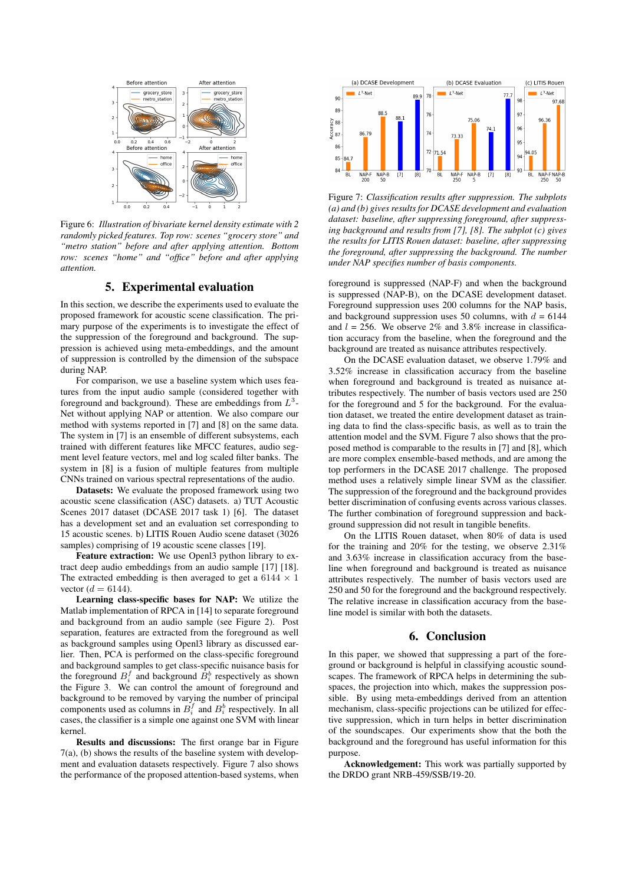

Figure 6: *Illustration of bivariate kernel density estimate with 2 randomly picked features. Top row: scenes "grocery store" and "metro station" before and after applying attention. Bottom row: scenes "home" and "office" before and after applying attention.*

## 5. Experimental evaluation

In this section, we describe the experiments used to evaluate the proposed framework for acoustic scene classification. The primary purpose of the experiments is to investigate the effect of the suppression of the foreground and background. The suppression is achieved using meta-embeddings, and the amount of suppression is controlled by the dimension of the subspace during NAP.

For comparison, we use a baseline system which uses features from the input audio sample (considered together with foreground and background). These are embeddings from  $L^3$ -Net without applying NAP or attention. We also compare our method with systems reported in [7] and [8] on the same data. The system in [7] is an ensemble of different subsystems, each trained with different features like MFCC features, audio segment level feature vectors, mel and log scaled filter banks. The system in [8] is a fusion of multiple features from multiple CNNs trained on various spectral representations of the audio.

Datasets: We evaluate the proposed framework using two acoustic scene classification (ASC) datasets. a) TUT Acoustic Scenes 2017 dataset (DCASE 2017 task 1) [6]. The dataset has a development set and an evaluation set corresponding to 15 acoustic scenes. b) LITIS Rouen Audio scene dataset (3026 samples) comprising of 19 acoustic scene classes [19].

Feature extraction: We use Openl3 python library to extract deep audio embeddings from an audio sample [17] [18]. The extracted embedding is then averaged to get a 6144  $\times$  1 vector  $(d = 6144)$ .

Learning class-specific bases for NAP: We utilize the Matlab implementation of RPCA in [14] to separate foreground and background from an audio sample (see Figure 2). Post separation, features are extracted from the foreground as well as background samples using Openl3 library as discussed earlier. Then, PCA is performed on the class-specific foreground and background samples to get class-specific nuisance basis for the foreground  $B_i^f$  and background  $B_i^b$  respectively as shown the Figure 3. We can control the amount of foreground and background to be removed by varying the number of principal components used as columns in  $B_i^f$  and  $B_i^b$  respectively. In all cases, the classifier is a simple one against one SVM with linear kernel.

Results and discussions: The first orange bar in Figure 7(a), (b) shows the results of the baseline system with development and evaluation datasets respectively. Figure 7 also shows the performance of the proposed attention-based systems, when



Figure 7: *Classification results after suppression. The subplots (a) and (b) gives results for DCASE development and evaluation dataset: baseline, after suppressing foreground, after suppressing background and results from [7], [8]. The subplot (c) gives the results for LITIS Rouen dataset: baseline, after suppressing the foreground, after suppressing the background. The number under NAP specifies number of basis components.*

foreground is suppressed (NAP-F) and when the background is suppressed (NAP-B), on the DCASE development dataset. Foreground suppression uses 200 columns for the NAP basis, and background suppression uses 50 columns, with  $d = 6144$ and  $l = 256$ . We observe 2% and 3.8% increase in classification accuracy from the baseline, when the foreground and the background are treated as nuisance attributes respectively.

On the DCASE evaluation dataset, we observe 1.79% and 3.52% increase in classification accuracy from the baseline when foreground and background is treated as nuisance attributes respectively. The number of basis vectors used are 250 for the foreground and 5 for the background. For the evaluation dataset, we treated the entire development dataset as training data to find the class-specific basis, as well as to train the attention model and the SVM. Figure 7 also shows that the proposed method is comparable to the results in [7] and [8], which are more complex ensemble-based methods, and are among the top performers in the DCASE 2017 challenge. The proposed method uses a relatively simple linear SVM as the classifier. The suppression of the foreground and the background provides better discrimination of confusing events across various classes. The further combination of foreground suppression and background suppression did not result in tangible benefits.

On the LITIS Rouen dataset, when 80% of data is used for the training and 20% for the testing, we observe 2.31% and 3.63% increase in classification accuracy from the baseline when foreground and background is treated as nuisance attributes respectively. The number of basis vectors used are 250 and 50 for the foreground and the background respectively. The relative increase in classification accuracy from the baseline model is similar with both the datasets.

#### 6. Conclusion

In this paper, we showed that suppressing a part of the foreground or background is helpful in classifying acoustic soundscapes. The framework of RPCA helps in determining the subspaces, the projection into which, makes the suppression possible. By using meta-embeddings derived from an attention mechanism, class-specific projections can be utilized for effective suppression, which in turn helps in better discrimination of the soundscapes. Our experiments show that the both the background and the foreground has useful information for this purpose.

Acknowledgement: This work was partially supported by the DRDO grant NRB-459/SSB/19-20.